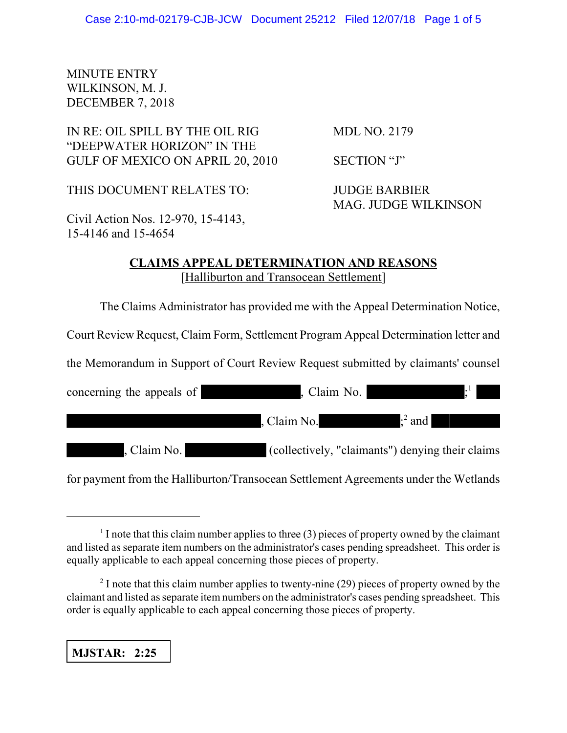## MINUTE ENTRY WILKINSON, M. J. DECEMBER 7, 2018

# IN RE: OIL SPILL BY THE OIL RIG MDL NO. 2179 "DEEPWATER HORIZON" IN THE GULF OF MEXICO ON APRIL 20, 2010 SECTION "J"

THIS DOCUMENT RELATES TO: JUDGE BARBIER

MAG. JUDGE WILKINSON

Civil Action Nos. 12-970, 15-4143, 15-4146 and 15-4654

## **CLAIMS APPEAL DETERMINATION AND REASONS** [Halliburton and Transocean Settlement]

The Claims Administrator has provided me with the Appeal Determination Notice,

Court Review Request, Claim Form, Settlement Program Appeal Determination letter and

the Memorandum in Support of Court Review Request submitted by claimants' counsel

| concerning the appeals of | , Claim No.                                      |               |
|---------------------------|--------------------------------------------------|---------------|
|                           | , Claim No.                                      | $\cdot^2$ and |
| , Claim No.               | (collectively, "claimants") denying their claims |               |

for payment from the Halliburton/Transocean Settlement Agreements under the Wetlands

**MJSTAR: 2:25**

 $<sup>1</sup>$  I note that this claim number applies to three (3) pieces of property owned by the claimant</sup> and listed as separate item numbers on the administrator's cases pending spreadsheet. This order is equally applicable to each appeal concerning those pieces of property.

 $2<sup>2</sup>$  I note that this claim number applies to twenty-nine (29) pieces of property owned by the claimant and listed as separate item numbers on the administrator's cases pending spreadsheet. This order is equally applicable to each appeal concerning those pieces of property.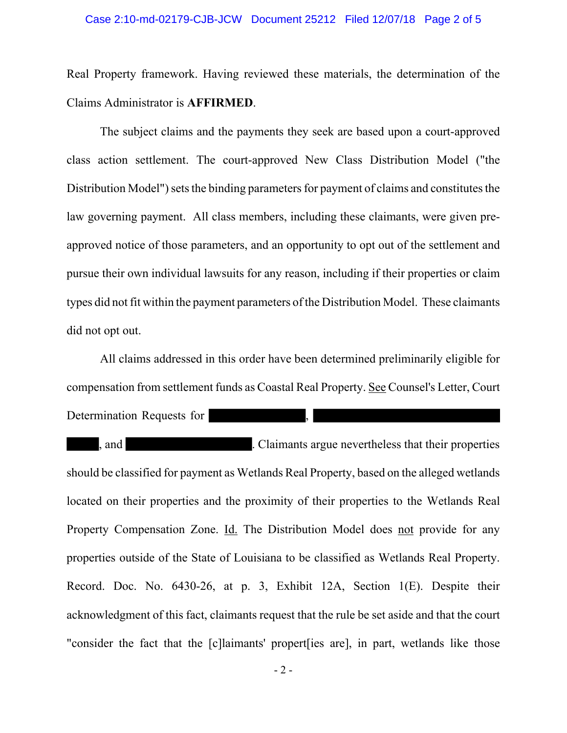#### Case 2:10-md-02179-CJB-JCW Document 25212 Filed 12/07/18 Page 2 of 5

Real Property framework. Having reviewed these materials, the determination of the Claims Administrator is **AFFIRMED**.

The subject claims and the payments they seek are based upon a court-approved class action settlement. The court-approved New Class Distribution Model ("the Distribution Model") sets the binding parameters for payment of claims and constitutes the law governing payment. All class members, including these claimants, were given preapproved notice of those parameters, and an opportunity to opt out of the settlement and pursue their own individual lawsuits for any reason, including if their properties or claim types did not fit within the payment parameters of the Distribution Model. These claimants did not opt out.

All claims addressed in this order have been determined preliminarily eligible for compensation from settlement funds as Coastal Real Property. See Counsel's Letter, Court Determination Requests for

, and . Claimants argue nevertheless that their properties should be classified for payment as Wetlands Real Property, based on the alleged wetlands located on their properties and the proximity of their properties to the Wetlands Real Property Compensation Zone. Id. The Distribution Model does not provide for any properties outside of the State of Louisiana to be classified as Wetlands Real Property. Record. Doc. No. 6430-26, at p. 3, Exhibit 12A, Section 1(E). Despite their acknowledgment of this fact, claimants request that the rule be set aside and that the court "consider the fact that the [c]laimants' propert[ies are], in part, wetlands like those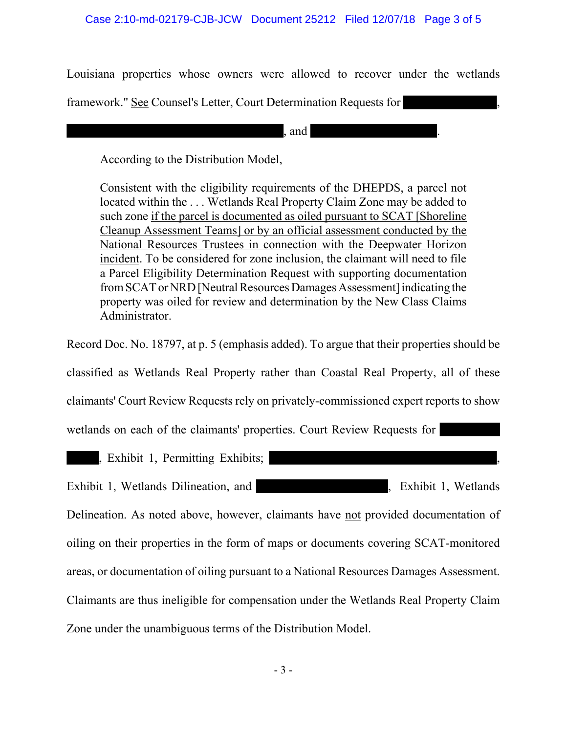Louisiana properties whose owners were allowed to recover under the wetlands

framework." See Counsel's Letter, Court Determination Requests for ,

, and .

According to the Distribution Model,

Consistent with the eligibility requirements of the DHEPDS, a parcel not located within the . . . Wetlands Real Property Claim Zone may be added to such zone if the parcel is documented as oiled pursuant to SCAT [Shoreline Cleanup Assessment Teams] or by an official assessment conducted by the National Resources Trustees in connection with the Deepwater Horizon incident. To be considered for zone inclusion, the claimant will need to file a Parcel Eligibility Determination Request with supporting documentation from SCAT or NRD [Neutral Resources Damages Assessment] indicating the property was oiled for review and determination by the New Class Claims Administrator.

Record Doc. No. 18797, at p. 5 (emphasis added). To argue that their properties should be

classified as Wetlands Real Property rather than Coastal Real Property, all of these

claimants' Court Review Requests rely on privately-commissioned expert reports to show

wetlands on each of the claimants' properties. Court Review Requests for

, Exhibit 1, Permitting Exhibits;

Exhibit 1, Wetlands Dilineation, and <br>
Fxhibit 1, Wetlands

Delineation. As noted above, however, claimants have not provided documentation of oiling on their properties in the form of maps or documents covering SCAT-monitored areas, or documentation of oiling pursuant to a National Resources Damages Assessment. Claimants are thus ineligible for compensation under the Wetlands Real Property Claim Zone under the unambiguous terms of the Distribution Model.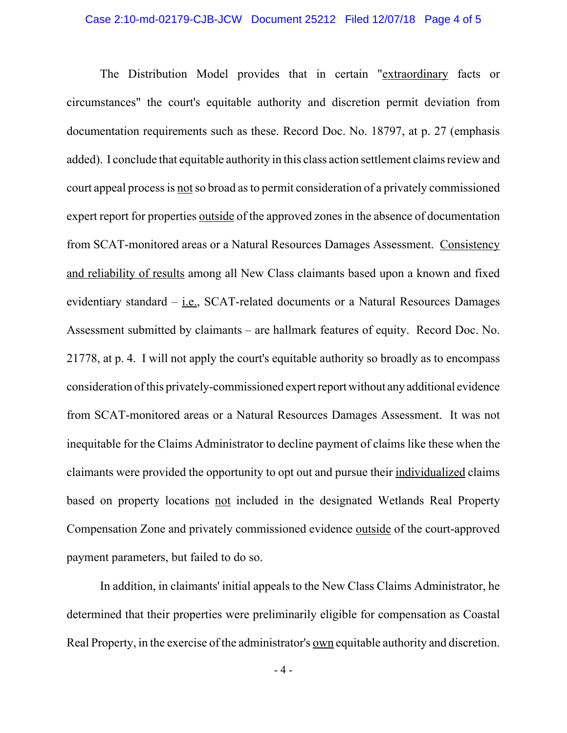#### Case 2:10-md-02179-CJB-JCW Document 25212 Filed 12/07/18 Page 4 of 5

The Distribution Model provides that in certain "extraordinary facts or circumstances" the court's equitable authority and discretion permit deviation from documentation requirements such as these. Record Doc. No. 18797, at p. 27 (emphasis added). I conclude that equitable authority in this class action settlement claims review and court appeal process is not so broad as to permit consideration of a privately commissioned expert report for properties outside of the approved zones in the absence of documentation from SCAT-monitored areas or a Natural Resources Damages Assessment. Consistency and reliability of results among all New Class claimants based upon a known and fixed evidentiary standard – i.e., SCAT-related documents or a Natural Resources Damages Assessment submitted by claimants – are hallmark features of equity. Record Doc. No. 21778, at p. 4. I will not apply the court's equitable authority so broadly as to encompass consideration of this privately-commissioned expert report without any additional evidence from SCAT-monitored areas or a Natural Resources Damages Assessment. It was not inequitable for the Claims Administrator to decline payment of claims like these when the claimants were provided the opportunity to opt out and pursue their individualized claims based on property locations not included in the designated Wetlands Real Property Compensation Zone and privately commissioned evidence outside of the court-approved payment parameters, but failed to do so.

In addition, in claimants' initial appeals to the New Class Claims Administrator, he determined that their properties were preliminarily eligible for compensation as Coastal Real Property, in the exercise of the administrator's <u>own</u> equitable authority and discretion.